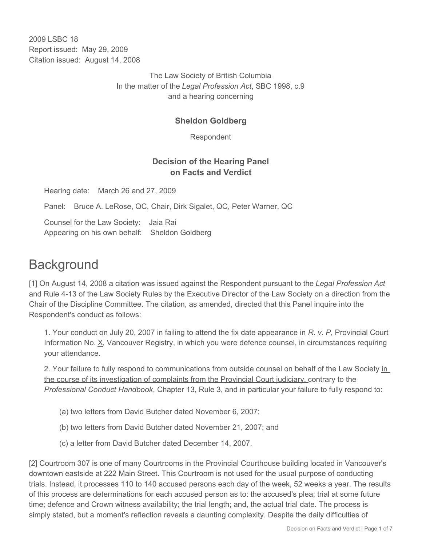2009 LSBC 18 Report issued: May 29, 2009 Citation issued: August 14, 2008

> The Law Society of British Columbia In the matter of the *Legal Profession Act*, SBC 1998, c.9 and a hearing concerning

## **Sheldon Goldberg**

Respondent

## **Decision of the Hearing Panel on Facts and Verdict**

Hearing date: March 26 and 27, 2009

Panel: Bruce A. LeRose, QC, Chair, Dirk Sigalet, QC, Peter Warner, QC

Counsel for the Law Society: Jaia Rai Appearing on his own behalf: Sheldon Goldberg

## **Background**

[1] On August 14, 2008 a citation was issued against the Respondent pursuant to the *Legal Profession Act* and Rule 4-13 of the Law Society Rules by the Executive Director of the Law Society on a direction from the Chair of the Discipline Committee. The citation, as amended, directed that this Panel inquire into the Respondent's conduct as follows:

1. Your conduct on July 20, 2007 in failing to attend the fix date appearance in *R. v. P*, Provincial Court Information No. X, Vancouver Registry, in which you were defence counsel, in circumstances requiring your attendance.

2. Your failure to fully respond to communications from outside counsel on behalf of the Law Society in the course of its investigation of complaints from the Provincial Court judiciary, contrary to the *Professional Conduct Handbook*, Chapter 13, Rule 3, and in particular your failure to fully respond to:

- (a) two letters from David Butcher dated November 6, 2007;
- (b) two letters from David Butcher dated November 21, 2007; and
- (c) a letter from David Butcher dated December 14, 2007.

[2] Courtroom 307 is one of many Courtrooms in the Provincial Courthouse building located in Vancouver's downtown eastside at 222 Main Street. This Courtroom is not used for the usual purpose of conducting trials. Instead, it processes 110 to 140 accused persons each day of the week, 52 weeks a year. The results of this process are determinations for each accused person as to: the accused's plea; trial at some future time; defence and Crown witness availability; the trial length; and, the actual trial date. The process is simply stated, but a moment's reflection reveals a daunting complexity. Despite the daily difficulties of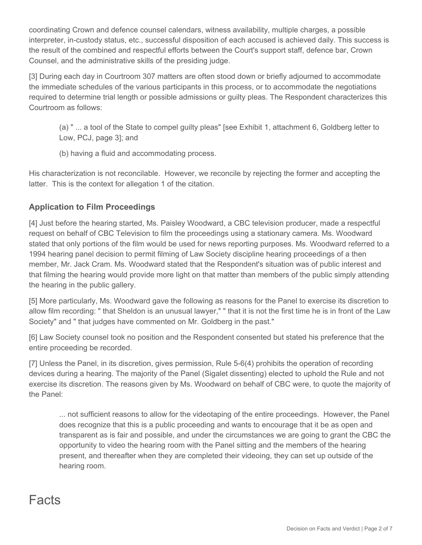coordinating Crown and defence counsel calendars, witness availability, multiple charges, a possible interpreter, in-custody status, etc., successful disposition of each accused is achieved daily. This success is the result of the combined and respectful efforts between the Court's support staff, defence bar, Crown Counsel, and the administrative skills of the presiding judge.

[3] During each day in Courtroom 307 matters are often stood down or briefly adjourned to accommodate the immediate schedules of the various participants in this process, or to accommodate the negotiations required to determine trial length or possible admissions or guilty pleas. The Respondent characterizes this Courtroom as follows:

(a) " ... a tool of the State to compel guilty pleas" [see Exhibit 1, attachment 6, Goldberg letter to Low, PCJ, page 3]; and

(b) having a fluid and accommodating process.

His characterization is not reconcilable. However, we reconcile by rejecting the former and accepting the latter. This is the context for allegation 1 of the citation.

## **Application to Film Proceedings**

[4] Just before the hearing started, Ms. Paisley Woodward, a CBC television producer, made a respectful request on behalf of CBC Television to film the proceedings using a stationary camera. Ms. Woodward stated that only portions of the film would be used for news reporting purposes. Ms. Woodward referred to a 1994 hearing panel decision to permit filming of Law Society discipline hearing proceedings of a then member, Mr. Jack Cram. Ms. Woodward stated that the Respondent's situation was of public interest and that filming the hearing would provide more light on that matter than members of the public simply attending the hearing in the public gallery.

[5] More particularly, Ms. Woodward gave the following as reasons for the Panel to exercise its discretion to allow film recording: " that Sheldon is an unusual lawyer," " that it is not the first time he is in front of the Law Society" and " that judges have commented on Mr. Goldberg in the past."

[6] Law Society counsel took no position and the Respondent consented but stated his preference that the entire proceeding be recorded.

[7] Unless the Panel, in its discretion, gives permission, Rule 5-6(4) prohibits the operation of recording devices during a hearing. The majority of the Panel (Sigalet dissenting) elected to uphold the Rule and not exercise its discretion. The reasons given by Ms. Woodward on behalf of CBC were, to quote the majority of the Panel:

... not sufficient reasons to allow for the videotaping of the entire proceedings. However, the Panel does recognize that this is a public proceeding and wants to encourage that it be as open and transparent as is fair and possible, and under the circumstances we are going to grant the CBC the opportunity to video the hearing room with the Panel sitting and the members of the hearing present, and thereafter when they are completed their videoing, they can set up outside of the hearing room.

# Facts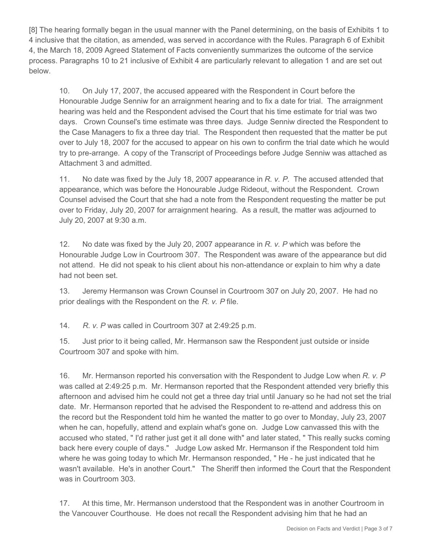[8] The hearing formally began in the usual manner with the Panel determining, on the basis of Exhibits 1 to 4 inclusive that the citation, as amended, was served in accordance with the Rules. Paragraph 6 of Exhibit 4, the March 18, 2009 Agreed Statement of Facts conveniently summarizes the outcome of the service process. Paragraphs 10 to 21 inclusive of Exhibit 4 are particularly relevant to allegation 1 and are set out below.

10. On July 17, 2007, the accused appeared with the Respondent in Court before the Honourable Judge Senniw for an arraignment hearing and to fix a date for trial. The arraignment hearing was held and the Respondent advised the Court that his time estimate for trial was two days. Crown Counsel's time estimate was three days. Judge Senniw directed the Respondent to the Case Managers to fix a three day trial. The Respondent then requested that the matter be put over to July 18, 2007 for the accused to appear on his own to confirm the trial date which he would try to pre-arrange. A copy of the Transcript of Proceedings before Judge Senniw was attached as Attachment 3 and admitted.

11. No date was fixed by the July 18, 2007 appearance in *R. v. P*. The accused attended that appearance, which was before the Honourable Judge Rideout, without the Respondent. Crown Counsel advised the Court that she had a note from the Respondent requesting the matter be put over to Friday, July 20, 2007 for arraignment hearing. As a result, the matter was adjourned to July 20, 2007 at 9:30 a.m.

12. No date was fixed by the July 20, 2007 appearance in *R. v. P* which was before the Honourable Judge Low in Courtroom 307. The Respondent was aware of the appearance but did not attend. He did not speak to his client about his non-attendance or explain to him why a date had not been set.

13. Jeremy Hermanson was Crown Counsel in Courtroom 307 on July 20, 2007. He had no prior dealings with the Respondent on the *R. v. P* file.

14. *R. v. P* was called in Courtroom 307 at 2:49:25 p.m.

15. Just prior to it being called, Mr. Hermanson saw the Respondent just outside or inside Courtroom 307 and spoke with him.

16. Mr. Hermanson reported his conversation with the Respondent to Judge Low when *R. v. P* was called at 2:49:25 p.m. Mr. Hermanson reported that the Respondent attended very briefly this afternoon and advised him he could not get a three day trial until January so he had not set the trial date. Mr. Hermanson reported that he advised the Respondent to re-attend and address this on the record but the Respondent told him he wanted the matter to go over to Monday, July 23, 2007 when he can, hopefully, attend and explain what's gone on. Judge Low canvassed this with the accused who stated, " I'd rather just get it all done with" and later stated, " This really sucks coming back here every couple of days." Judge Low asked Mr. Hermanson if the Respondent told him where he was going today to which Mr. Hermanson responded, " He - he just indicated that he wasn't available. He's in another Court." The Sheriff then informed the Court that the Respondent was in Courtroom 303.

17. At this time, Mr. Hermanson understood that the Respondent was in another Courtroom in the Vancouver Courthouse. He does not recall the Respondent advising him that he had an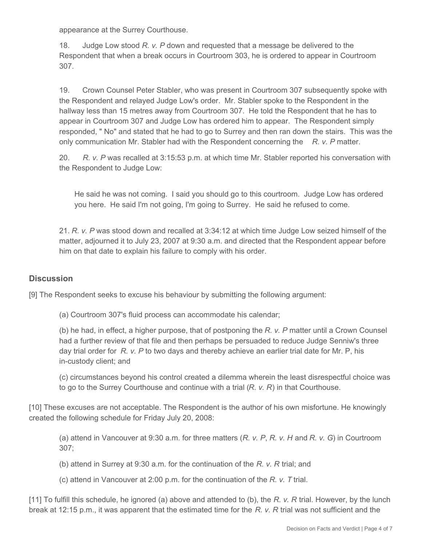appearance at the Surrey Courthouse.

18. Judge Low stood *R. v. P* down and requested that a message be delivered to the Respondent that when a break occurs in Courtroom 303, he is ordered to appear in Courtroom 307.

19. Crown Counsel Peter Stabler, who was present in Courtroom 307 subsequently spoke with the Respondent and relayed Judge Low's order. Mr. Stabler spoke to the Respondent in the hallway less than 15 metres away from Courtroom 307. He told the Respondent that he has to appear in Courtroom 307 and Judge Low has ordered him to appear. The Respondent simply responded, " No" and stated that he had to go to Surrey and then ran down the stairs. This was the only communication Mr. Stabler had with the Respondent concerning the *R. v. P* matter.

20. *R. v. P* was recalled at 3:15:53 p.m. at which time Mr. Stabler reported his conversation with the Respondent to Judge Low:

He said he was not coming. I said you should go to this courtroom. Judge Low has ordered you here. He said I'm not going, I'm going to Surrey. He said he refused to come.

21. *R. v. P* was stood down and recalled at 3:34:12 at which time Judge Low seized himself of the matter, adjourned it to July 23, 2007 at 9:30 a.m. and directed that the Respondent appear before him on that date to explain his failure to comply with his order.

## **Discussion**

[9] The Respondent seeks to excuse his behaviour by submitting the following argument:

(a) Courtroom 307's fluid process can accommodate his calendar;

(b) he had, in effect, a higher purpose, that of postponing the *R. v. P* matter until a Crown Counsel had a further review of that file and then perhaps be persuaded to reduce Judge Senniw's three day trial order for *R. v. P* to two days and thereby achieve an earlier trial date for Mr. P, his in-custody client; and

(c) circumstances beyond his control created a dilemma wherein the least disrespectful choice was to go to the Surrey Courthouse and continue with a trial (*R. v. R*) in that Courthouse.

[10] These excuses are not acceptable. The Respondent is the author of his own misfortune. He knowingly created the following schedule for Friday July 20, 2008:

(a) attend in Vancouver at 9:30 a.m. for three matters (*R. v. P*, *R. v. H* and *R. v. G*) in Courtroom 307;

(b) attend in Surrey at 9:30 a.m. for the continuation of the *R. v. R* trial; and

(c) attend in Vancouver at 2:00 p.m. for the continuation of the *R. v. T* trial.

[11] To fulfill this schedule, he ignored (a) above and attended to (b), the *R. v. R* trial. However, by the lunch break at 12:15 p.m., it was apparent that the estimated time for the *R. v. R* trial was not sufficient and the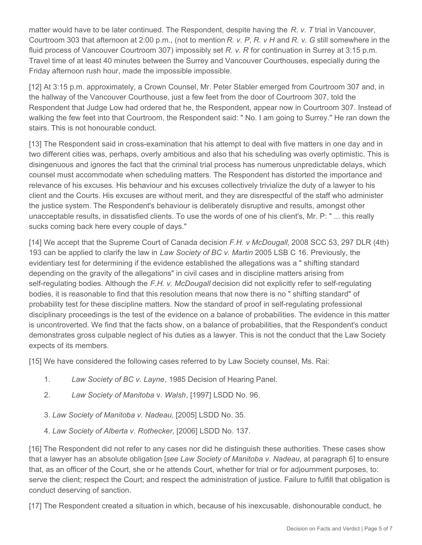matter would have to be later continued. The Respondent, despite having the *R. v. T* trial in Vancouver, Courtroom 303 that afternoon at 2:00 p.m., (not to mention *R. v. P*, *R. v H* and *R. v. G* still somewhere in the fluid process of Vancouver Courtroom 307) impossibly set *R. v. R* for continuation in Surrey at 3:15 p.m. Travel time of at least 40 minutes between the Surrey and Vancouver Courthouses, especially during the Friday afternoon rush hour, made the impossible impossible.

[12] At 3:15 p.m. approximately, a Crown Counsel, Mr. Peter Stabler emerged from Courtroom 307 and, in the hallway of the Vancouver Courthouse, just a few feet from the door of Courtroom 307, told the Respondent that Judge Low had ordered that he, the Respondent, appear now in Courtroom 307. Instead of walking the few feet into that Courtroom, the Respondent said: " No. I am going to Surrey." He ran down the stairs. This is not honourable conduct.

[13] The Respondent said in cross-examination that his attempt to deal with five matters in one day and in two different cities was, perhaps, overly ambitious and also that his scheduling was overly optimistic. This is disingenuous and ignores the fact that the criminal trial process has numerous unpredictable delays, which counsel must accommodate when scheduling matters. The Respondent has distorted the importance and relevance of his excuses. His behaviour and his excuses collectively trivialize the duty of a lawyer to his client and the Courts. His excuses are without merit, and they are disrespectful of the staff who administer the justice system. The Respondent's behaviour is deliberately disruptive and results, amongst other unacceptable results, in dissatisfied clients. To use the words of one of his client's, Mr. P: " ... this really sucks coming back here every couple of days."

[14] We accept that the Supreme Court of Canada decision *F.H. v McDougall*, 2008 SCC 53, 297 DLR (4th) 193 can be applied to clarify the law in *Law Society of BC v. Martin* 2005 LSB C 16*.* Previously, the evidentiary test for determining if the evidence established the allegations was a " shifting standard depending on the gravity of the allegations" in civil cases and in discipline matters arising from self-regulating bodies. Although the *F.H. v. McDougall* decision did not explicitly refer to self-regulating bodies, it is reasonable to find that this resolution means that now there is no " shifting standard" of probability test for these discipline matters. Now the standard of proof in self-regulating professional disciplinary proceedings is the test of the evidence on a balance of probabilities. The evidence in this matter is uncontroverted. We find that the facts show, on a balance of probabilities, that the Respondent's conduct demonstrates gross culpable neglect of his duties as a lawyer. This is not the conduct that the Law Society expects of its members.

[15] We have considered the following cases referred to by Law Society counsel, Ms. Rai:

- 1. *Law Society of BC v. Layne*, 1985 Decision of Hearing Panel.
- 2. *Law Society of Manitoba* v. *Walsh*, [1997] LSDD No. 96.
- 3. *Law Society of Manitoba v. Nadeau,* [2005] LSDD No. 35.
- 4. *Law Society of Alberta v. Rothecker*, [2006] LSDD No. 137.

[16] The Respondent did not refer to any cases nor did he distinguish these authorities. These cases show that a lawyer has an absolute obligation [*see Law Society of Manitoba v. Nadeau,* at paragraph 6] to ensure that, as an officer of the Court, she or he attends Court, whether for trial or for adjournment purposes, to: serve the client; respect the Court; and respect the administration of justice. Failure to fulfill that obligation is conduct deserving of sanction.

[17] The Respondent created a situation in which, because of his inexcusable, dishonourable conduct, he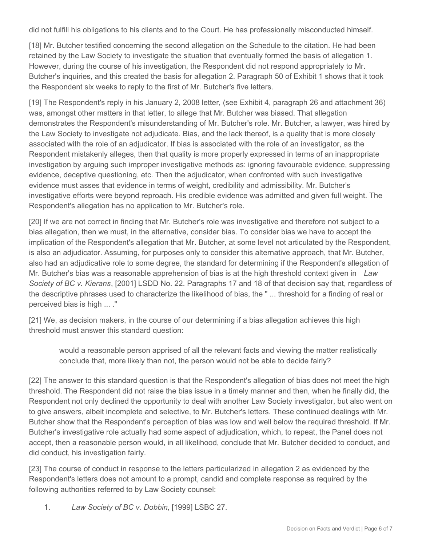did not fulfill his obligations to his clients and to the Court. He has professionally misconducted himself.

[18] Mr. Butcher testified concerning the second allegation on the Schedule to the citation. He had been retained by the Law Society to investigate the situation that eventually formed the basis of allegation 1. However, during the course of his investigation, the Respondent did not respond appropriately to Mr. Butcher's inquiries, and this created the basis for allegation 2. Paragraph 50 of Exhibit 1 shows that it took the Respondent six weeks to reply to the first of Mr. Butcher's five letters.

[19] The Respondent's reply in his January 2, 2008 letter, (see Exhibit 4, paragraph 26 and attachment 36) was, amongst other matters in that letter, to allege that Mr. Butcher was biased. That allegation demonstrates the Respondent's misunderstanding of Mr. Butcher's role. Mr. Butcher, a lawyer, was hired by the Law Society to investigate not adjudicate. Bias, and the lack thereof, is a quality that is more closely associated with the role of an adjudicator. If bias is associated with the role of an investigator, as the Respondent mistakenly alleges, then that quality is more properly expressed in terms of an inappropriate investigation by arguing such improper investigative methods as: ignoring favourable evidence, suppressing evidence, deceptive questioning, etc. Then the adjudicator, when confronted with such investigative evidence must asses that evidence in terms of weight, credibility and admissibility. Mr. Butcher's investigative efforts were beyond reproach. His credible evidence was admitted and given full weight. The Respondent's allegation has no application to Mr. Butcher's role.

[20] If we are not correct in finding that Mr. Butcher's role was investigative and therefore not subject to a bias allegation, then we must, in the alternative, consider bias. To consider bias we have to accept the implication of the Respondent's allegation that Mr. Butcher, at some level not articulated by the Respondent, is also an adjudicator. Assuming, for purposes only to consider this alternative approach, that Mr. Butcher, also had an adjudicative role to some degree, the standard for determining if the Respondent's allegation of Mr. Butcher's bias was a reasonable apprehension of bias is at the high threshold context given in *Law Society of BC v. Kierans*, [2001] LSDD No. 22. Paragraphs 17 and 18 of that decision say that, regardless of the descriptive phrases used to characterize the likelihood of bias, the " ... threshold for a finding of real or perceived bias is high ... ."

[21] We, as decision makers, in the course of our determining if a bias allegation achieves this high threshold must answer this standard question:

would a reasonable person apprised of all the relevant facts and viewing the matter realistically conclude that, more likely than not, the person would not be able to decide fairly?

[22] The answer to this standard question is that the Respondent's allegation of bias does not meet the high threshold. The Respondent did not raise the bias issue in a timely manner and then, when he finally did, the Respondent not only declined the opportunity to deal with another Law Society investigator, but also went on to give answers, albeit incomplete and selective, to Mr. Butcher's letters. These continued dealings with Mr. Butcher show that the Respondent's perception of bias was low and well below the required threshold. If Mr. Butcher's investigative role actually had some aspect of adjudication, which, to repeat, the Panel does not accept, then a reasonable person would, in all likelihood, conclude that Mr. Butcher decided to conduct, and did conduct, his investigation fairly.

[23] The course of conduct in response to the letters particularized in allegation 2 as evidenced by the Respondent's letters does not amount to a prompt, candid and complete response as required by the following authorities referred to by Law Society counsel:

1. *Law Society of BC v. Dobbin*, [1999] LSBC 27.